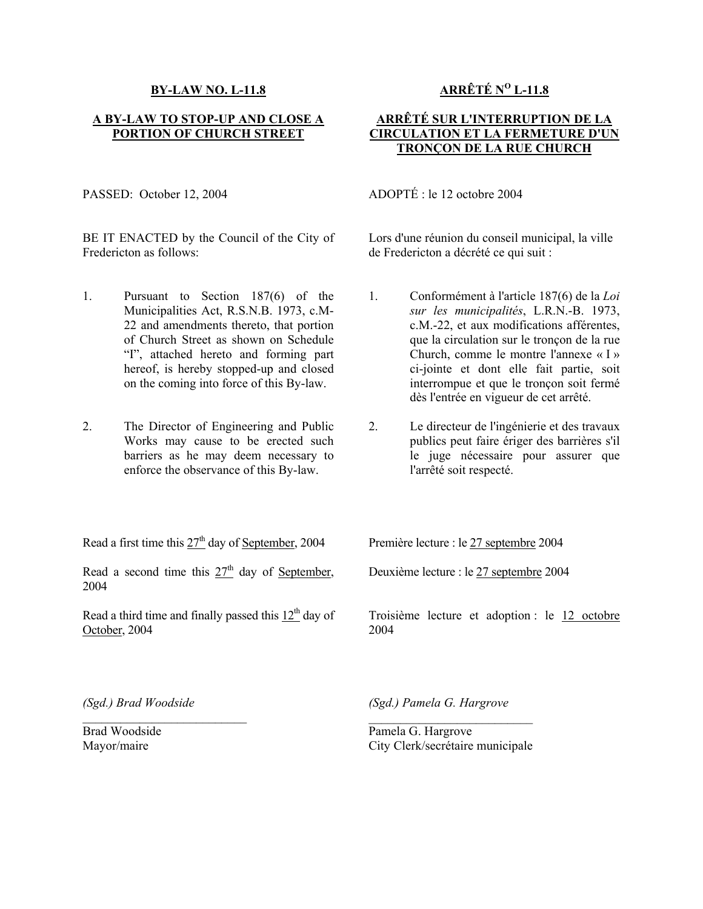## **BY-LAW NO. L-11.8**

## **A BY-LAW TO STOP-UP AND CLOSE A PORTION OF CHURCH STREET**

PASSED: October 12, 2004

BE IT ENACTED by the Council of the City of Fredericton as follows:

- 1. Pursuant to Section 187(6) of the Municipalities Act, R.S.N.B. 1973, c.M-22 and amendments thereto, that portion of Church Street as shown on Schedule "I", attached hereto and forming part hereof, is hereby stopped-up and closed on the coming into force of this By-law.
- 2. The Director of Engineering and Public Works may cause to be erected such barriers as he may deem necessary to enforce the observance of this By-law.

Read a first time this  $27<sup>th</sup>$  day of September, 2004

Read a second time this  $27<sup>th</sup>$  day of September, 2004

Read a third time and finally passed this  $12<sup>th</sup>$  day of October, 2004

**ARRÊTÉ NO L-11.8**

## **ARRÊTÉ SUR L'INTERRUPTION DE LA CIRCULATION ET LA FERMETURE D'UN TRONÇON DE LA RUE CHURCH**

ADOPTÉ : le 12 octobre 2004

Lors d'une réunion du conseil municipal, la ville de Fredericton a décrété ce qui suit :

- 1. Conformément à l'article 187(6) de la *Loi sur les municipalités*, L.R.N.-B. 1973, c.M.-22, et aux modifications afférentes, que la circulation sur le tronçon de la rue Church, comme le montre l'annexe « I » ci-jointe et dont elle fait partie, soit interrompue et que le tronçon soit fermé dès l'entrée en vigueur de cet arrêté.
- 2. Le directeur de l'ingénierie et des travaux publics peut faire ériger des barrières s'il le juge nécessaire pour assurer que l'arrêté soit respecté.

Première lecture : le 27 septembre 2004

Deuxième lecture : le 27 septembre 2004

Troisième lecture et adoption : le 12 octobre 2004

*(Sgd.) Brad Woodside* 

 $\mathcal{L}_\text{max}$ 

Brad Woodside Mayor/maire

*(Sgd.) Pamela G. Hargrove* 

Pamela G. Hargrove City Clerk/secrétaire municipale

 $\mathcal{L}_\text{max}$